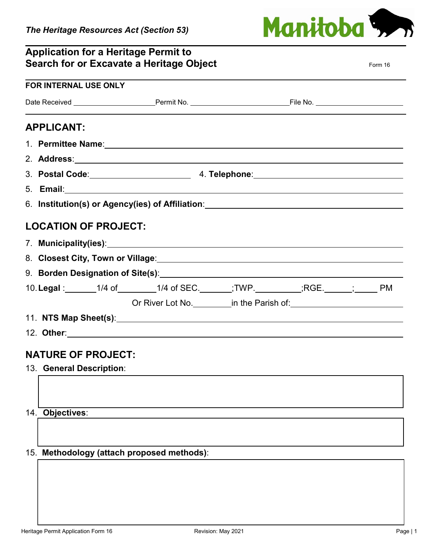## **Application for a Heritage Permit to**

| Manitoba 3. |  |  |
|-------------|--|--|

| Search for or Excavate a Heritage Object                                                                         |                                                                                  |  | Form 16 |
|------------------------------------------------------------------------------------------------------------------|----------------------------------------------------------------------------------|--|---------|
| FOR INTERNAL USE ONLY                                                                                            |                                                                                  |  |         |
|                                                                                                                  |                                                                                  |  |         |
| <b>APPLICANT:</b>                                                                                                |                                                                                  |  |         |
| 1. Permittee Name: 1. 2008 2010 2020 2021 2022 2023 2024 2022 2023 2024 2022 2023 2024 2022 2023 2024 2022 20    |                                                                                  |  |         |
| 2. Address: 2. Address: 2. Address: 2. Address: 2. Address: 2. Address: 2. Address: 2. Address: 2. Address: 2.   |                                                                                  |  |         |
|                                                                                                                  |                                                                                  |  |         |
| 5. Email: 2008. 2009. 2009. 2010. 2010. 2010. 2010. 2010. 2010. 2010. 2010. 2010. 2010. 2010. 2010. 2010. 2010   |                                                                                  |  |         |
| 6. Institution(s) or Agency(ies) of Affiliation: [100] [2010] [2010] [2010] [2010] [2010] [2010] [2010] [3010] [ |                                                                                  |  |         |
| <b>LOCATION OF PROJECT:</b>                                                                                      |                                                                                  |  |         |
|                                                                                                                  |                                                                                  |  |         |
| 8. Closest City, Town or Village: Manual Account of the Closest City, Town or Village:                           |                                                                                  |  |         |
|                                                                                                                  |                                                                                  |  |         |
| 10. Legal : 1/4 of _________1/4 of SEC. _______;TWP. __________;RGE. ______; _____ PM                            |                                                                                  |  |         |
|                                                                                                                  | Or River Lot No. ___________ in the Parish of: _________________________________ |  |         |
|                                                                                                                  |                                                                                  |  |         |
|                                                                                                                  |                                                                                  |  |         |
| <b>NATURE OF PROJECT:</b>                                                                                        |                                                                                  |  |         |
| 13. General Description:                                                                                         |                                                                                  |  |         |
|                                                                                                                  |                                                                                  |  |         |
|                                                                                                                  |                                                                                  |  |         |
| 14. Objectives:                                                                                                  |                                                                                  |  |         |
|                                                                                                                  |                                                                                  |  |         |
|                                                                                                                  |                                                                                  |  |         |
| 15. Methodology (attach proposed methods):                                                                       |                                                                                  |  |         |
|                                                                                                                  |                                                                                  |  |         |
|                                                                                                                  |                                                                                  |  |         |
|                                                                                                                  |                                                                                  |  |         |
|                                                                                                                  |                                                                                  |  |         |